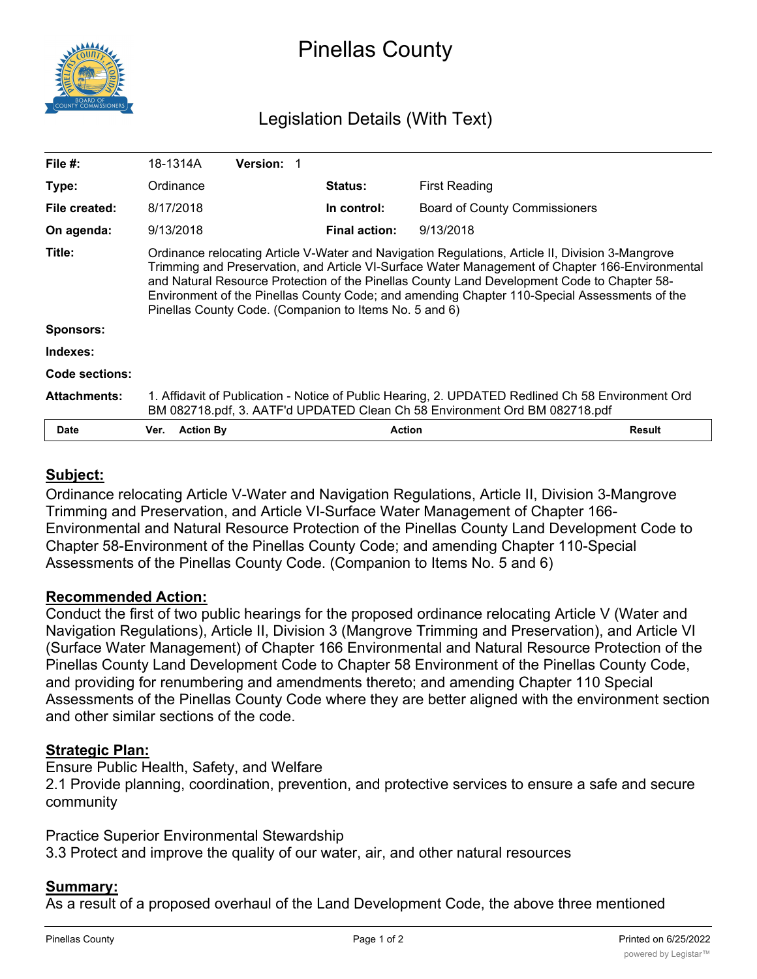

# Pinellas County

# Legislation Details (With Text)

| File $#$ :          | 18-1314A                                                                                                                                                                                                                                                                                                                                                                                                                                                     | <b>Version: 1</b> |                      |                                      |               |
|---------------------|--------------------------------------------------------------------------------------------------------------------------------------------------------------------------------------------------------------------------------------------------------------------------------------------------------------------------------------------------------------------------------------------------------------------------------------------------------------|-------------------|----------------------|--------------------------------------|---------------|
| Type:               | Ordinance                                                                                                                                                                                                                                                                                                                                                                                                                                                    |                   | <b>Status:</b>       | First Reading                        |               |
| File created:       | 8/17/2018                                                                                                                                                                                                                                                                                                                                                                                                                                                    |                   | In control:          | <b>Board of County Commissioners</b> |               |
| On agenda:          | 9/13/2018                                                                                                                                                                                                                                                                                                                                                                                                                                                    |                   | <b>Final action:</b> | 9/13/2018                            |               |
| Title:              | Ordinance relocating Article V-Water and Navigation Regulations, Article II, Division 3-Mangrove<br>Trimming and Preservation, and Article VI-Surface Water Management of Chapter 166-Environmental<br>and Natural Resource Protection of the Pinellas County Land Development Code to Chapter 58-<br>Environment of the Pinellas County Code; and amending Chapter 110-Special Assessments of the<br>Pinellas County Code. (Companion to Items No. 5 and 6) |                   |                      |                                      |               |
| <b>Sponsors:</b>    |                                                                                                                                                                                                                                                                                                                                                                                                                                                              |                   |                      |                                      |               |
| Indexes:            |                                                                                                                                                                                                                                                                                                                                                                                                                                                              |                   |                      |                                      |               |
| Code sections:      |                                                                                                                                                                                                                                                                                                                                                                                                                                                              |                   |                      |                                      |               |
| <b>Attachments:</b> | 1. Affidavit of Publication - Notice of Public Hearing, 2. UPDATED Redlined Ch 58 Environment Ord<br>BM 082718.pdf, 3. AATF'd UPDATED Clean Ch 58 Environment Ord BM 082718.pdf                                                                                                                                                                                                                                                                              |                   |                      |                                      |               |
| <b>Date</b>         | <b>Action By</b><br>Ver.                                                                                                                                                                                                                                                                                                                                                                                                                                     |                   | <b>Action</b>        |                                      | <b>Result</b> |

# **Subject:**

Ordinance relocating Article V-Water and Navigation Regulations, Article II, Division 3-Mangrove Trimming and Preservation, and Article VI-Surface Water Management of Chapter 166- Environmental and Natural Resource Protection of the Pinellas County Land Development Code to Chapter 58-Environment of the Pinellas County Code; and amending Chapter 110-Special Assessments of the Pinellas County Code. (Companion to Items No. 5 and 6)

#### **Recommended Action:**

Conduct the first of two public hearings for the proposed ordinance relocating Article V (Water and Navigation Regulations), Article II, Division 3 (Mangrove Trimming and Preservation), and Article VI (Surface Water Management) of Chapter 166 Environmental and Natural Resource Protection of the Pinellas County Land Development Code to Chapter 58 Environment of the Pinellas County Code, and providing for renumbering and amendments thereto; and amending Chapter 110 Special Assessments of the Pinellas County Code where they are better aligned with the environment section and other similar sections of the code.

### **Strategic Plan:**

Ensure Public Health, Safety, and Welfare

2.1 Provide planning, coordination, prevention, and protective services to ensure a safe and secure community

Practice Superior Environmental Stewardship 3.3 Protect and improve the quality of our water, air, and other natural resources

#### **Summary:**

As a result of a proposed overhaul of the Land Development Code, the above three mentioned